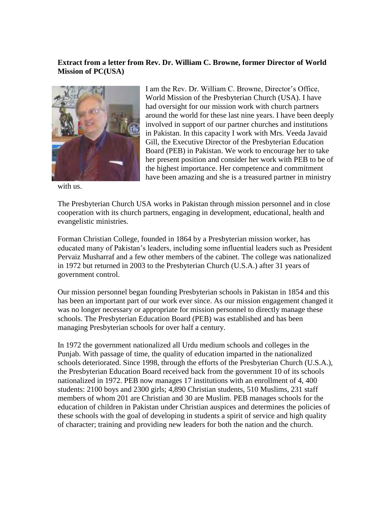## **Extract from a letter from Rev. Dr. William C. Browne, former Director of World Mission of PC(USA)**



with us.

I am the Rev. Dr. William C. Browne, Director's Office, World Mission of the Presbyterian Church (USA). I have had oversight for our mission work with church partners around the world for these last nine years. I have been deeply involved in support of our partner churches and institutions in Pakistan. In this capacity I work with Mrs. Veeda Javaid Gill, the Executive Director of the Presbyterian Education Board (PEB) in Pakistan. We work to encourage her to take her present position and consider her work with PEB to be of the highest importance. Her competence and commitment have been amazing and she is a treasured partner in ministry

The Presbyterian Church USA works in Pakistan through mission personnel and in close cooperation with its church partners, engaging in development, educational, health and evangelistic ministries.

Forman Christian College, founded in 1864 by a Presbyterian mission worker, has educated many of Pakistan's leaders, including some influential leaders such as President Pervaiz Musharraf and a few other members of the cabinet. The college was nationalized in 1972 but returned in 2003 to the Presbyterian Church (U.S.A.) after 31 years of government control.

Our mission personnel began founding Presbyterian schools in Pakistan in 1854 and this has been an important part of our work ever since. As our mission engagement changed it was no longer necessary or appropriate for mission personnel to directly manage these schools. The Presbyterian Education Board (PEB) was established and has been managing Presbyterian schools for over half a century.

In 1972 the government nationalized all Urdu medium schools and colleges in the Punjab. With passage of time, the quality of education imparted in the nationalized schools deteriorated. Since 1998, through the efforts of the Presbyterian Church (U.S.A.), the Presbyterian Education Board received back from the government 10 of its schools nationalized in 1972. PEB now manages 17 institutions with an enrollment of 4, 400 students: 2100 boys and 2300 girls; 4,890 Christian students, 510 Muslims, 231 staff members of whom 201 are Christian and 30 are Muslim. PEB manages schools for the education of children in Pakistan under Christian auspices and determines the policies of these schools with the goal of developing in students a spirit of service and high quality of character; training and providing new leaders for both the nation and the church.